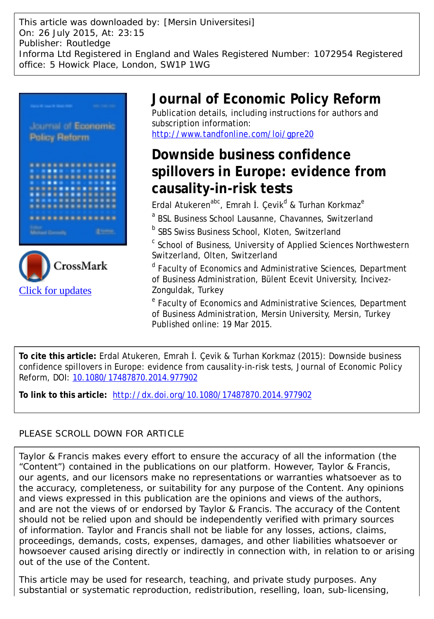This article was downloaded by: [Mersin Universitesi] On: 26 July 2015, At: 23:15 Publisher: Routledge Informa Ltd Registered in England and Wales Registered Number: 1072954 Registered office: 5 Howick Place, London, SW1P 1WG





# **Journal of Economic Policy Reform**

Publication details, including instructions for authors and subscription information: <http://www.tandfonline.com/loi/gpre20>

# **Downside business confidence spillovers in Europe: evidence from causality-in-risk tests**

Erdal Atukeren<sup>abc</sup>, Emrah İ. Çevik<sup>d</sup> & Turhan Korkmaz<sup>e</sup>

<sup>a</sup> BSL Business School Lausanne, Chavannes, Switzerland

**b** SBS Swiss Business School, Kloten, Switzerland

<sup>c</sup> School of Business, University of Applied Sciences Northwestern Switzerland, Olten, Switzerland

<sup>d</sup> Faculty of Economics and Administrative Sciences, Department of Business Administration, Bülent Ecevit University, İncivez-Zonguldak, Turkey

<sup>e</sup> Faculty of Economics and Administrative Sciences, Department of Business Administration, Mersin University, Mersin, Turkey Published online: 19 Mar 2015.

**To cite this article:** Erdal Atukeren, Emrah İ. Çevik & Turhan Korkmaz (2015): Downside business confidence spillovers in Europe: evidence from causality-in-risk tests, Journal of Economic Policy Reform, DOI: [10.1080/17487870.2014.977902](http://www.tandfonline.com/action/showCitFormats?doi=10.1080/17487870.2014.977902)

**To link to this article:** <http://dx.doi.org/10.1080/17487870.2014.977902>

# PLEASE SCROLL DOWN FOR ARTICLE

Taylor & Francis makes every effort to ensure the accuracy of all the information (the "Content") contained in the publications on our platform. However, Taylor & Francis, our agents, and our licensors make no representations or warranties whatsoever as to the accuracy, completeness, or suitability for any purpose of the Content. Any opinions and views expressed in this publication are the opinions and views of the authors, and are not the views of or endorsed by Taylor & Francis. The accuracy of the Content should not be relied upon and should be independently verified with primary sources of information. Taylor and Francis shall not be liable for any losses, actions, claims, proceedings, demands, costs, expenses, damages, and other liabilities whatsoever or howsoever caused arising directly or indirectly in connection with, in relation to or arising out of the use of the Content.

This article may be used for research, teaching, and private study purposes. Any substantial or systematic reproduction, redistribution, reselling, loan, sub-licensing,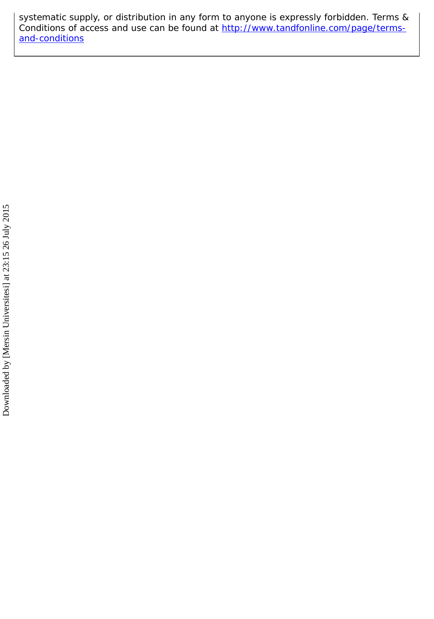systematic supply, or distribution in any form to anyone is expressly forbidden. Terms & Conditions of access and use can be found at [http://www.tandfonline.com/page/terms](http://www.tandfonline.com/page/terms-and-conditions)[and-conditions](http://www.tandfonline.com/page/terms-and-conditions)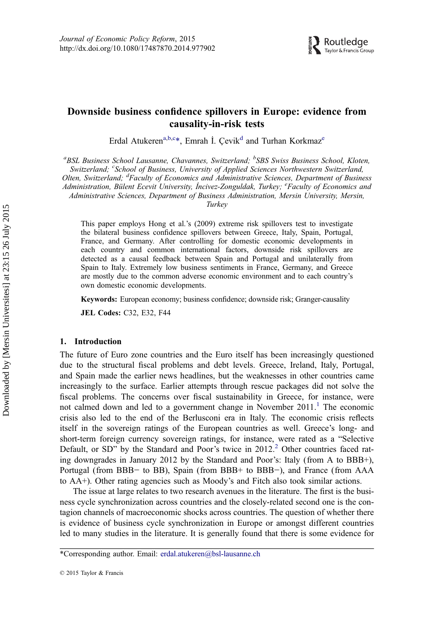# Downside business confidence spillovers in Europe: evidence from causality-in-risk tests

Erdal Atukeren<sup>a,b,c</sup>\*, Emrah İ. Çevik<sup>d</sup> and Turhan Korkmaz<sup>e</sup>

<sup>a</sup>BSL Business School Lausanne, Chavannes, Switzerland; <sup>b</sup>SBS Swiss Business School, Kloten, Switzerland; 'School of Business, University of Applied Sciences Northwestern Switzerland, Olten, Switzerland; <sup>d</sup>Faculty of Economics and Administrative Sciences, Department of Business Administration, Bülent Ecevit University, İncivez-Zonguldak, Turkey; <sup>e</sup>Faculty of Economics and Administrative Sciences, Department of Business Administration, Mersin University, Mersin,

Turkey

This paper employs Hong et al.'s (2009) extreme risk spillovers test to investigate the bilateral business confidence spillovers between Greece, Italy, Spain, Portugal, France, and Germany. After controlling for domestic economic developments in each country and common international factors, downside risk spillovers are detected as a causal feedback between Spain and Portugal and unilaterally from Spain to Italy. Extremely low business sentiments in France, Germany, and Greece are mostly due to the common adverse economic environment and to each country's own domestic economic developments.

Keywords: European economy; business confidence; downside risk; Granger-causality

JEL Codes: C32, E32, F44

### 1. Introduction

The future of Euro zone countries and the Euro itself has been increasingly questioned due to the structural fiscal problems and debt levels. Greece, Ireland, Italy, Portugal, and Spain made the earlier news headlines, but the weaknesses in other countries came increasingly to the surface. Earlier attempts through rescue packages did not solve the fiscal problems. The concerns over fiscal sustainability in Greece, for instance, were not calmed down and led to a government change in November 20[1](#page-17-0)1.<sup>1</sup> The economic crisis also led to the end of the Berlusconi era in Italy. The economic crisis reflects itself in the sovereign ratings of the European countries as well. Greece's long- and short-term foreign currency sovereign ratings, for instance, were rated as a "Selective Default, or SD" by the Standard and Poor's twice in [2](#page-17-0)012.<sup>2</sup> Other countries faced rating downgrades in January 2012 by the Standard and Poor's: Italy (from A to BBB+), Portugal (from BBB− to BB), Spain (from BBB+ to BBB−), and France (from AAA to AA+). Other rating agencies such as Moody's and Fitch also took similar actions.

The issue at large relates to two research avenues in the literature. The first is the business cycle synchronization across countries and the closely-related second one is the contagion channels of macroeconomic shocks across countries. The question of whether there is evidence of business cycle synchronization in Europe or amongst different countries led to many studies in the literature. It is generally found that there is some evidence for

<sup>\*</sup>Corresponding author. Email: [erdal.atukeren@bsl-lausanne.ch](mailto:erdal.atukeren@bsl-lausanne.ch)

<sup>© 2015</sup> Taylor & Francis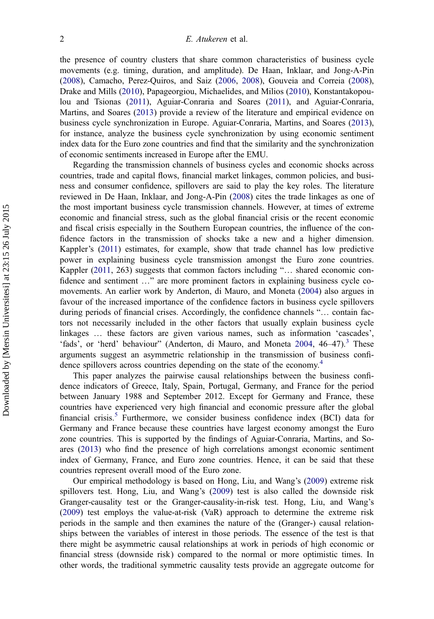the presence of country clusters that share common characteristics of business cycle movements (e.g. timing, duration, and amplitude). De Haan, Inklaar, and Jong-A-Pin [\(2008](#page-17-0)), Camacho, Perez-Quiros, and Saiz [\(2006](#page-17-0), [2008](#page-17-0)), Gouveia and Correia ([2008](#page-18-0)), Drake and Mills ([2010\)](#page-18-0), Papageorgiou, Michaelides, and Milios ([2010](#page-18-0)), Konstantakopoulou and Tsionas ([2011](#page-18-0)), Aguiar-Conraria and Soares ([2011](#page-17-0)), and Aguiar-Conraria, Martins, and Soares [\(2013](#page-17-0)) provide a review of the literature and empirical evidence on business cycle synchronization in Europe. Aguiar-Conraria, Martins, and Soares ([2013](#page-17-0)), for instance, analyze the business cycle synchronization by using economic sentiment index data for the Euro zone countries and find that the similarity and the synchronization of economic sentiments increased in Europe after the EMU.

Regarding the transmission channels of business cycles and economic shocks across countries, trade and capital flows, financial market linkages, common policies, and business and consumer confidence, spillovers are said to play the key roles. The literature reviewed in De Haan, Inklaar, and Jong-A-Pin [\(2008](#page-17-0)) cites the trade linkages as one of the most important business cycle transmission channels. However, at times of extreme economic and financial stress, such as the global financial crisis or the recent economic and fiscal crisis especially in the Southern European countries, the influence of the confidence factors in the transmission of shocks take a new and a higher dimension. Kappler's ([2011](#page-18-0)) estimates, for example, show that trade channel has low predictive power in explaining business cycle transmission amongst the Euro zone countries. Kappler ([2011](#page-18-0), 263) suggests that common factors including "… shared economic confidence and sentiment …" are more prominent factors in explaining business cycle comovements. An earlier work by Anderton, di Mauro, and Moneta [\(2004](#page-17-0)) also argues in favour of the increased importance of the confidence factors in business cycle spillovers during periods of financial crises. Accordingly, the confidence channels "… contain factors not necessarily included in the other factors that usually explain business cycle linkages … these factors are given various names, such as information 'cascades', 'fads', or 'herd' behaviour'' (Anderton, di Mauro, and Moneta [2004](#page-17-0), 46–47).<sup>[3](#page-17-0)</sup> These arguments suggest an asymmetric relationship in the transmission of business confidence spillovers across countries depending on the state of the economy.[4](#page-17-0)

This paper analyzes the pairwise causal relationships between the business confidence indicators of Greece, Italy, Spain, Portugal, Germany, and France for the period between January 1988 and September 2012. Except for Germany and France, these countries have experienced very high financial and economic pressure after the global financial crisis.<sup>[5](#page-17-0)</sup> Furthermore, we consider business confidence index (BCI) data for Germany and France because these countries have largest economy amongst the Euro zone countries. This is supported by the findings of Aguiar-Conraria, Martins, and Soares ([2013\)](#page-17-0) who find the presence of high correlations amongst economic sentiment index of Germany, France, and Euro zone countries. Hence, it can be said that these countries represent overall mood of the Euro zone.

Our empirical methodology is based on Hong, Liu, and Wang's ([2009\)](#page-18-0) extreme risk spillovers test. Hong, Liu, and Wang's [\(2009](#page-18-0)) test is also called the downside risk Granger-causality test or the Granger-causality-in-risk test. Hong, Liu, and Wang's [\(2009](#page-18-0)) test employs the value-at-risk (VaR) approach to determine the extreme risk periods in the sample and then examines the nature of the (Granger-) causal relationships between the variables of interest in those periods. The essence of the test is that there might be asymmetric causal relationships at work in periods of high economic or financial stress (downside risk) compared to the normal or more optimistic times. In other words, the traditional symmetric causality tests provide an aggregate outcome for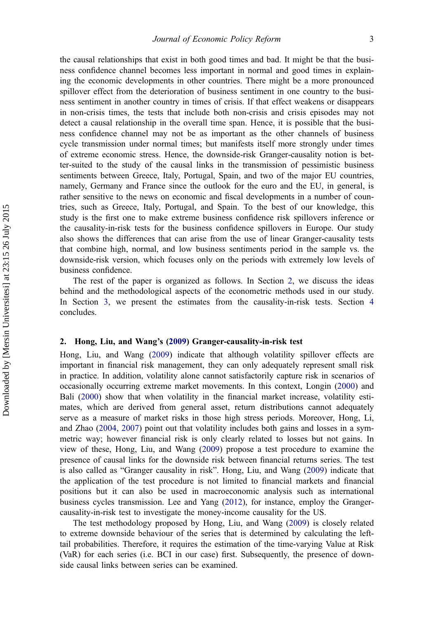the causal relationships that exist in both good times and bad. It might be that the business confidence channel becomes less important in normal and good times in explaining the economic developments in other countries. There might be a more pronounced spillover effect from the deterioration of business sentiment in one country to the business sentiment in another country in times of crisis. If that effect weakens or disappears in non-crisis times, the tests that include both non-crisis and crisis episodes may not detect a causal relationship in the overall time span. Hence, it is possible that the business confidence channel may not be as important as the other channels of business cycle transmission under normal times; but manifests itself more strongly under times of extreme economic stress. Hence, the downside-risk Granger-causality notion is better-suited to the study of the causal links in the transmission of pessimistic business sentiments between Greece, Italy, Portugal, Spain, and two of the major EU countries, namely, Germany and France since the outlook for the euro and the EU, in general, is rather sensitive to the news on economic and fiscal developments in a number of countries, such as Greece, Italy, Portugal, and Spain. To the best of our knowledge, this study is the first one to make extreme business confidence risk spillovers inference or the causality-in-risk tests for the business confidence spillovers in Europe. Our study also shows the differences that can arise from the use of linear Granger-causality tests that combine high, normal, and low business sentiments period in the sample vs. the downside-risk version, which focuses only on the periods with extremely low levels of business confidence.

The rest of the paper is organized as follows. In Section 2, we discuss the ideas behind and the methodological aspects of the econometric methods used in our study. In Section [3](#page-7-0), we present the estimates from the causality-in-risk tests. Section [4](#page-16-0) concludes.

## 2. Hong, Liu, and Wang's ([2009\)](#page-18-0) Granger-causality-in-risk test

Hong, Liu, and Wang ([2009\)](#page-18-0) indicate that although volatility spillover effects are important in financial risk management, they can only adequately represent small risk in practice. In addition, volatility alone cannot satisfactorily capture risk in scenarios of occasionally occurring extreme market movements. In this context, Longin ([2000\)](#page-18-0) and Bali [\(2000](#page-17-0)) show that when volatility in the financial market increase, volatility estimates, which are derived from general asset, return distributions cannot adequately serve as a measure of market risks in those high stress periods. Moreover, Hong, Li, and Zhao [\(2004](#page-18-0), [2007](#page-18-0)) point out that volatility includes both gains and losses in a symmetric way; however financial risk is only clearly related to losses but not gains. In view of these, Hong, Liu, and Wang ([2009\)](#page-18-0) propose a test procedure to examine the presence of causal links for the downside risk between financial returns series. The test is also called as "Granger causality in risk". Hong, Liu, and Wang ([2009\)](#page-18-0) indicate that the application of the test procedure is not limited to financial markets and financial positions but it can also be used in macroeconomic analysis such as international business cycles transmission. Lee and Yang ([2012\)](#page-18-0), for instance, employ the Grangercausality-in-risk test to investigate the money-income causality for the US.

The test methodology proposed by Hong, Liu, and Wang ([2009\)](#page-18-0) is closely related to extreme downside behaviour of the series that is determined by calculating the lefttail probabilities. Therefore, it requires the estimation of the time-varying Value at Risk (VaR) for each series (i.e. BCI in our case) first. Subsequently, the presence of downside causal links between series can be examined.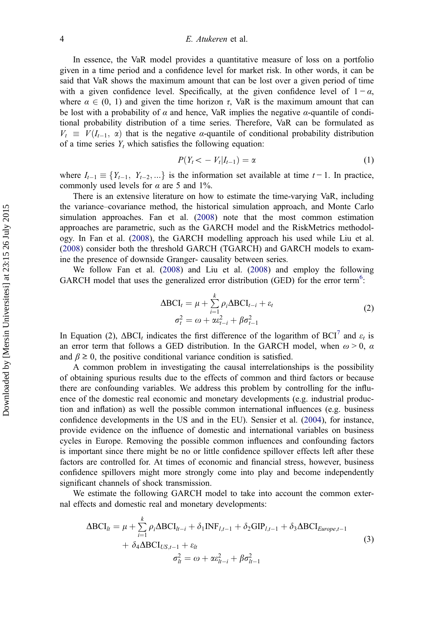#### 4 E. Atukeren et al.

In essence, the VaR model provides a quantitative measure of loss on a portfolio given in a time period and a confidence level for market risk. In other words, it can be said that VaR shows the maximum amount that can be lost over a given period of time with a given confidence level. Specifically, at the given confidence level of  $1 - \alpha$ , where  $\alpha \in (0, 1)$  and given the time horizon  $\tau$ , VaR is the maximum amount that can be lost with a probability of  $\alpha$  and hence, VaR implies the negative  $\alpha$ -quantile of conditional probability distribution of a time series. Therefore, VaR can be formulated as  $V_t \equiv V(I_{t-1}, \alpha)$  that is the negative  $\alpha$ -quantile of conditional probability distribution<br>of a time series Y which satisfies the following equation: of a time series  $Y_t$  which satisfies the following equation:

$$
P(Y_t < -V_t | I_{t-1}) = \alpha \tag{1}
$$

where  $I_{t-1} \equiv$ <br>commonly us  ${Y_{t-1}, Y_{t-2}, ...}$  is the information set available at time  $t-1$ . In practice, commonly used levels for  $\alpha$  are 5 and 1%.

There is an extensive literature on how to estimate the time-varying VaR, including the variance–covariance method, the historical simulation approach, and Monte Carlo simulation approaches. Fan et al. [\(2008](#page-18-0)) note that the most common estimation approaches are parametric, such as the GARCH model and the RiskMetrics methodology. In Fan et al. ([2008\)](#page-18-0), the GARCH modelling approach his used while Liu et al. [\(2008](#page-18-0)) consider both the threshold GARCH (TGARCH) and GARCH models to examine the presence of downside Granger- causality between series.

We follow Fan et al. ([2008\)](#page-18-0) and Liu et al. ([2008\)](#page-18-0) and employ the following GARCH model that uses the generalized error distribution (GED) for the error term<sup>[6](#page-17-0)</sup>:

$$
\Delta \text{BCI}_{t} = \mu + \sum_{i=1}^{k} \rho_{i} \Delta \text{BCI}_{t-i} + \varepsilon_{t}
$$
  
\n
$$
\sigma_{t}^{2} = \omega + \alpha \varepsilon_{t-i}^{2} + \beta \sigma_{t-1}^{2}
$$
\n(2)

In Equation (2),  $\triangle BCI_t$  indicates the first difference of the logarithm of BCI<sup>[7](#page-17-0)</sup> and  $\varepsilon_t$  is an error term that follows a GED distribution. In the GARCH model, when  $\omega > 0$ ,  $\alpha$ and  $\beta \geq 0$ , the positive conditional variance condition is satisfied.

A common problem in investigating the causal interrelationships is the possibility of obtaining spurious results due to the effects of common and third factors or because there are confounding variables. We address this problem by controlling for the influence of the domestic real economic and monetary developments (e.g. industrial production and inflation) as well the possible common international influences (e.g. business confidence developments in the US and in the EU). Sensier et al. ([2004\)](#page-18-0), for instance, provide evidence on the influence of domestic and international variables on business cycles in Europe. Removing the possible common influences and confounding factors is important since there might be no or little confidence spillover effects left after these factors are controlled for. At times of economic and financial stress, however, business confidence spillovers might more strongly come into play and become independently significant channels of shock transmission.

We estimate the following GARCH model to take into account the common external effects and domestic real and monetary developments:

$$
\Delta \text{BCI}_{lt} = \mu + \sum_{i=1}^{k} \rho_i \Delta \text{BCI}_{lt-i} + \delta_1 \text{INF}_{l,t-1} + \delta_2 \text{GIP}_{l,t-1} + \delta_3 \Delta \text{BCI}_{Europe,t-1} + \delta_4 \Delta \text{BCI}_{US,t-1} + \varepsilon_{lt} \sigma_{lt}^2 = \omega + \alpha \varepsilon_{lt-i}^2 + \beta \sigma_{lt-1}^2
$$
\n(3)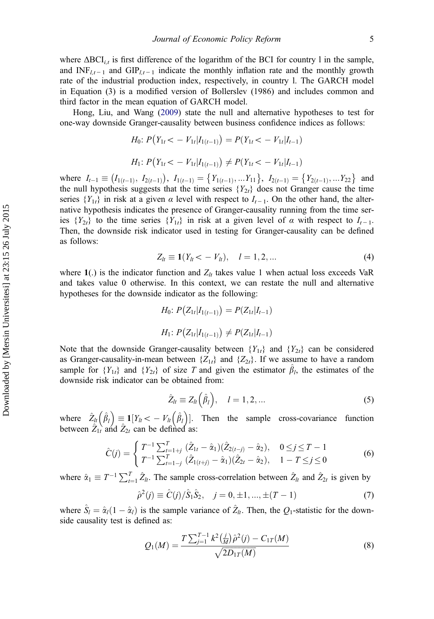where  $\Delta BCI_{i,t}$  is first difference of the logarithm of the BCI for country l in the sample, and  $INF<sub>l,t-1</sub>$  and  $GIP<sub>l,t-1</sub>$  indicate the monthly inflation rate and the monthly growth rate of the industrial production index, respectively, in country l. The GARCH model in Equation (3) is a modified version of Bollerslev (1986) and includes common and third factor in the mean equation of GARCH model.

Hong, Liu, and Wang ([2009\)](#page-18-0) state the null and alternative hypotheses to test for one-way downside Granger-causality between business confidence indices as follows:

$$
H_0: P(Y_{1t} < -V_{1t} | I_{1(t-1)}) = P(Y_{1t} < -V_{1t} | I_{t-1})
$$
\n
$$
H_1: P(Y_{1t} < -V_{1t} | I_{1(t-1)}) \neq P(Y_{1t} < -V_{1t} | I_{t-1})
$$

where  $I_{t-1} \equiv (I_{1(t-1)}, I_{2(t-1)}), I_{1(t-1)} = \{Y_{1(t-1)}, \ldots Y_{11}\}, I_{2(t-1)} = \{Y_{2(t-1)}, \ldots Y_{22}\}$  and<br>the null hypothesis suggests that the time series  $Y_{\lambda}$ , does not Granger cause the time the null hypothesis suggests that the time series  ${Y_{2t}}$  does not Granger cause the time series  ${Y_{1t}}$  in risk at a given  $\alpha$  level with respect to  $I_{t-1}$ . On the other hand, the alternative hypothesis indicates the presence of Granger-causality running from the time series  ${Y_{2t}}$  to the time series  ${Y_{1t}}$  in risk at a given level of  $\alpha$  with respect to  $I_{t-1}$ . Then, the downside risk indicator used in testing for Granger-causality can be defined as follows:

$$
Z_{lt} \equiv \mathbf{1}(Y_{lt} < -V_{lt}), \quad l = 1, 2, \dots \tag{4}
$$

where  $1(.)$  is the indicator function and  $Z<sub>l</sub>$  takes value 1 when actual loss exceeds VaR and takes value 0 otherwise. In this context, we can restate the null and alternative hypotheses for the downside indicator as the following:

$$
H_0: P(Z_{1t}|I_{1(t-1)}) = P(Z_{1t}|I_{t-1})
$$
  

$$
H_1: P(Z_{1t}|I_{1(t-1)}) \neq P(Z_{1t}|I_{t-1})
$$

Note that the downside Granger-causality between  ${Y_{1t}}$  and  ${Y_{2t}}$  can be considered as Granger-causality-in-mean between  ${Z_{1t}}$  and  ${Z_{2t}}$ . If we assume to have a random sample for  ${Y_{1t}}$  and  ${Y_{2t}}$  of size T and given the estimator  $\hat{\beta}_t$ , the estimates of the downside risk indicator can be obtained from:

$$
\hat{Z}_{lt} \equiv Z_{lt} \left(\hat{\beta}_l\right), \quad l = 1, 2, \dots \tag{5}
$$

where  $\hat{Z}_{lt}(\hat{\beta}_l)$ where  $\hat{Z}_{lt}(\hat{\beta}_l) \equiv \mathbf{1}[Y_{lt} < -V_{lt}(\hat{\beta}_l)].$  Then the sample cross-covariance function between  $\hat{Z}_{1t}$  and  $\hat{Z}_{2t}$  can be defined as:

$$
\hat{C}(j) = \begin{cases}\nT^{-1} \sum_{t=1+j}^{T} (\hat{Z}_{1t} - \hat{\alpha}_{1}) (\hat{Z}_{2(t-j)} - \hat{\alpha}_{2}), & 0 \leq j \leq T - 1 \\
T^{-1} \sum_{t=1-j}^{T} (\hat{Z}_{1(t+j)} - \hat{\alpha}_{1}) (\hat{Z}_{2t} - \hat{\alpha}_{2}), & 1 - T \leq j \leq 0\n\end{cases}
$$
\n(6)

where  $\hat{\alpha}_1 \equiv T^{-1} \sum_{t=1}^T \hat{Z}_{lt}$ . The sample cross-correlation between  $\hat{Z}_{lt}$  and  $\hat{Z}_{2t}$  is given by

$$
\hat{\rho}^2(j) \equiv \hat{C}(j)/\hat{S}_1 \hat{S}_2, \quad j = 0, \pm 1, ..., \pm (T - 1)
$$
\n(7)

where  $\hat{S}_l = \hat{\alpha}_l(1 - \hat{\alpha}_l)$  is the sample variance of  $\hat{Z}_{lt}$ . Then, the  $Q_1$ -statistic for the downside causality test is defined as:

$$
Q_1(M) = \frac{T \sum_{j=1}^{T-1} k^2 \left(\frac{j}{M}\right) \hat{\rho}^2(j) - C_{1T}(M)}{\sqrt{2D_{1T}(M)}}
$$
(8)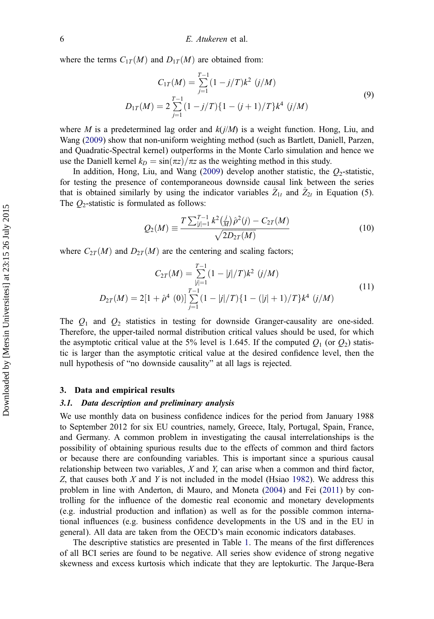<span id="page-7-0"></span>where the terms  $C_{1T}(M)$  and  $D_{1T}(M)$  are obtained from:

$$
C_{1T}(M) = \sum_{j=1}^{T-1} (1 - j/T)k^2 \ (j/M)
$$
  

$$
D_{1T}(M) = 2 \sum_{j=1}^{T-1} (1 - j/T) \{1 - (j+1)/T\} k^4 \ (j/M)
$$
 (9)

where M is a predetermined lag order and  $k(i/M)$  is a weight function. Hong, Liu, and Wang ([2009\)](#page-18-0) show that non-uniform weighting method (such as Bartlett, Daniell, Parzen, and Quadratic-Spectral kernel) outperforms in the Monte Carlo simulation and hence we use the Daniell kernel  $k_D = \frac{\sin(\pi z)}{\pi z}$  as the weighting method in this study.

In addition, Hong, Liu, and Wang  $(2009)$  $(2009)$  develop another statistic, the  $Q<sub>2</sub>$ -statistic, for testing the presence of contemporaneous downside causal link between the series that is obtained similarly by using the indicator variables  $\hat{Z}_{1t}$  and  $\hat{Z}_{2t}$  in Equation (5). The  $Q_2$ -statistic is formulated as follows:

$$
Q_2(M) \equiv \frac{T \sum_{|j|=1}^{T-1} k^2 \left(\frac{j}{M}\right) \hat{\rho}^2(j) - C_{2T}(M)}{\sqrt{2D_{2T}(M)}}
$$
(10)

where  $C_{2T}(M)$  and  $D_{2T}(M)$  are the centering and scaling factors;

$$
C_{2T}(M) = \sum_{|j|=1}^{T-1} (1 - |j|/T)k^2 \ (j/M)
$$
  

$$
D_{2T}(M) = 2[1 + \hat{\rho}^4 \ (0)] \sum_{j=1}^{T-1} (1 - |j|/T) \{1 - (|j| + 1)/T\} k^4 \ (j/M)
$$
 (11)

The  $Q_1$  and  $Q_2$  statistics in testing for downside Granger-causality are one-sided. Therefore, the upper-tailed normal distribution critical values should be used, for which the asymptotic critical value at the 5% level is 1.645. If the computed  $Q_1$  (or  $Q_2$ ) statistic is larger than the asymptotic critical value at the desired confidence level, then the null hypothesis of "no downside causality" at all lags is rejected.

#### 3. Data and empirical results

## 3.1. Data description and preliminary analysis

We use monthly data on business confidence indices for the period from January 1988 to September 2012 for six EU countries, namely, Greece, Italy, Portugal, Spain, France, and Germany. A common problem in investigating the causal interrelationships is the possibility of obtaining spurious results due to the effects of common and third factors or because there are confounding variables. This is important since a spurious causal relationship between two variables,  $X$  and  $Y$ , can arise when a common and third factor, Z, that causes both X and Y is not included in the model (Hsiao [1982](#page-18-0)). We address this problem in line with Anderton, di Mauro, and Moneta [\(2004](#page-17-0)) and Fei ([2011](#page-18-0)) by controlling for the influence of the domestic real economic and monetary developments (e.g. industrial production and inflation) as well as for the possible common international influences (e.g. business confidence developments in the US and in the EU in general). All data are taken from the OECD's main economic indicators databases.

The descriptive statistics are presented in Table [1.](#page-8-0) The means of the first differences of all BCI series are found to be negative. All series show evidence of strong negative skewness and excess kurtosis which indicate that they are leptokurtic. The Jarque-Bera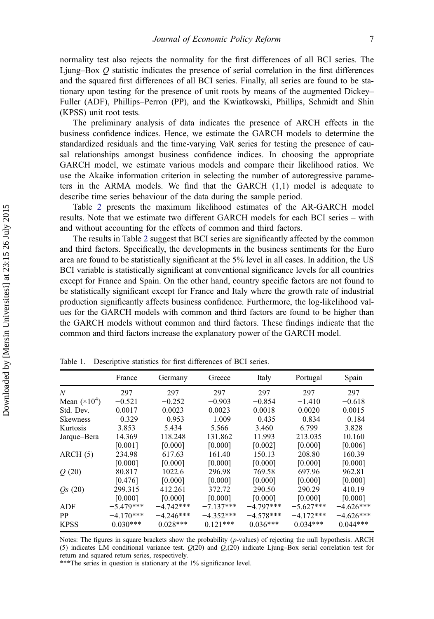<span id="page-8-0"></span>normality test also rejects the normality for the first differences of all BCI series. The Ljung–Box Q statistic indicates the presence of serial correlation in the first differences and the squared first differences of all BCI series. Finally, all series are found to be stationary upon testing for the presence of unit roots by means of the augmented Dickey– Fuller (ADF), Phillips–Perron (PP), and the Kwiatkowski, Phillips, Schmidt and Shin (KPSS) unit root tests.

The preliminary analysis of data indicates the presence of ARCH effects in the business confidence indices. Hence, we estimate the GARCH models to determine the standardized residuals and the time-varying VaR series for testing the presence of causal relationships amongst business confidence indices. In choosing the appropriate GARCH model, we estimate various models and compare their likelihood ratios. We use the Akaike information criterion in selecting the number of autoregressive parameters in the ARMA models. We find that the GARCH (1,1) model is adequate to describe time series behaviour of the data during the sample period.

Table [2](#page-9-0) presents the maximum likelihood estimates of the AR-GARCH model results. Note that we estimate two different GARCH models for each BCI series – with and without accounting for the effects of common and third factors.

The results in Table [2](#page-9-0) suggest that BCI series are significantly affected by the common and third factors. Specifically, the developments in the business sentiments for the Euro area are found to be statistically significant at the 5% level in all cases. In addition, the US BCI variable is statistically significant at conventional significance levels for all countries except for France and Spain. On the other hand, country specific factors are not found to be statistically significant except for France and Italy where the growth rate of industrial production significantly affects business confidence. Furthermore, the log-likelihood values for the GARCH models with common and third factors are found to be higher than the GARCH models without common and third factors. These findings indicate that the common and third factors increase the explanatory power of the GARCH model.

|                      | France      | Germany     | Greece      | Italy       | Portugal    | Spain       |
|----------------------|-------------|-------------|-------------|-------------|-------------|-------------|
| N                    | 297         | 297         | 297         | 297         | 297         | 297         |
| Mean $(\times 10^4)$ | $-0.521$    | $-0.252$    | $-0.903$    | $-0.854$    | $-1.410$    | $-0.618$    |
| Std. Dev.            | 0.0017      | 0.0023      | 0.0023      | 0.0018      | 0.0020      | 0.0015      |
| <b>Skewness</b>      | $-0.329$    | $-0.953$    | $-1.009$    | $-0.435$    | $-0.834$    | $-0.184$    |
| Kurtosis             | 3.853       | 5.434       | 5.566       | 3.460       | 6.799       | 3.828       |
| Jarque-Bera          | 14.369      | 118.248     | 131.862     | 11.993      | 213.035     | 10.160      |
|                      | [0.001]     | [0.000]     | [0.000]     | [0.002]     | [0.000]     | [0.006]     |
| ARCH(5)              | 234.98      | 617.63      | 161.40      | 150.13      | 208.80      | 160.39      |
|                      | [0.000]     | [0.000]     | [0.000]     | [0.000]     | [0.000]     | [0.000]     |
| Q(20)                | 80.817      | 1022.6      | 296.98      | 769.58      | 697.96      | 962.81      |
|                      | [0.476]     | [0.000]     | [0.000]     | [0.000]     | [0.000]     | [0.000]     |
| $Q_s(20)$            | 299.315     | 412.261     | 372.72      | 290.50      | 290.29      | 410.19      |
|                      | [0.000]     | [0.000]     | [0.000]     | [0.000]     | [0.000]     | [0.000]     |
| ADF                  | $-5.479***$ | $-4.742***$ | $-7.137***$ | $-4.797***$ | $-5.627***$ | $-4.626***$ |
| PP.                  | $-4.170***$ | $-4.246***$ | $-4.352***$ | $-4.578***$ | $-4.172***$ | $-4.626***$ |
| <b>KPSS</b>          | $0.030***$  | $0.028***$  | $0.121***$  | $0.036***$  | $0.034***$  | $0.044***$  |

Table 1. Descriptive statistics for first differences of BCI series.

Notes: The figures in square brackets show the probability (p-values) of rejecting the null hypothesis. ARCH (5) indicates LM conditional variance test.  $Q(20)$  and  $Q<sub>s</sub>(20)$  indicate Ljung–Box serial correlation test for return and squared return series, respectively.

\*\*\*The series in question is stationary at the 1% significance level.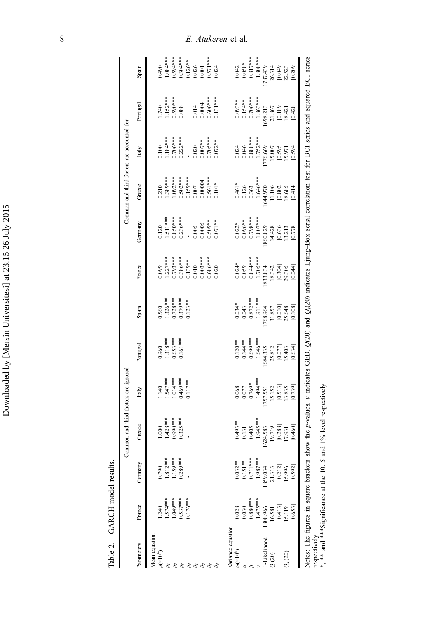|                           |                                                                    |                                                 |                     | Common and third factors are ignored              |                                                                       |                                                                   |                                                            |                                    | Common and third factors are accounted for                                                                                                                                        |                                                           |                                                                        |                                                             |
|---------------------------|--------------------------------------------------------------------|-------------------------------------------------|---------------------|---------------------------------------------------|-----------------------------------------------------------------------|-------------------------------------------------------------------|------------------------------------------------------------|------------------------------------|-----------------------------------------------------------------------------------------------------------------------------------------------------------------------------------|-----------------------------------------------------------|------------------------------------------------------------------------|-------------------------------------------------------------|
| Parameters                | France                                                             | Germany                                         | Greece              | Italy                                             | Portugal                                                              | Spain                                                             | France                                                     | Gernary                            | Greece                                                                                                                                                                            | Italy                                                     | Portuga                                                                | Spain                                                       |
| Mean equation             |                                                                    |                                                 |                     |                                                   |                                                                       |                                                                   |                                                            |                                    |                                                                                                                                                                                   |                                                           |                                                                        |                                                             |
| $u(x)0^{4}$               |                                                                    |                                                 | 1.000               |                                                   | $-0.960$                                                              |                                                                   | 0.099                                                      |                                    | 0.210                                                                                                                                                                             | 0.100                                                     |                                                                        | 0.490                                                       |
|                           |                                                                    |                                                 | $1.428***$          | $-1.140$<br>1.547***<br>-1.014***                 | $1.318***$<br>-0.653***                                               |                                                                   |                                                            | $0.120$<br>$1.511***$              | $1.389***$                                                                                                                                                                        | $1.184***$                                                | $-1.740$<br>1.152***<br>0.590***                                       | $1.084***$                                                  |
|                           |                                                                    |                                                 | $-0.990**$          |                                                   |                                                                       |                                                                   | $1.227***$<br>-0.793***                                    | $-0.850***$                        |                                                                                                                                                                                   | $-0.706***$                                               |                                                                        | $-0.594***$                                                 |
|                           |                                                                    | $-0.790$<br>1.812***<br>-1.59***<br>-1.59***    | $0.325***$          |                                                   | $0.161***$                                                            |                                                                   |                                                            | $0.236***$                         |                                                                                                                                                                                   | $0.222***$                                                | 0.088                                                                  |                                                             |
|                           | $-1.240$<br>$1.574***$<br>$-1.049***$<br>$0.537***$<br>$-0.176***$ |                                                 |                     | $0.469***$<br>-0.117**                            |                                                                       | $-0.560$<br>$1.326***$<br>$-0.728***$<br>$0.379***$<br>$-0.123**$ | $0.386***$<br>-0.139**                                     |                                    | $-1.092***$<br>0.502***<br>-0.159***<br>-0.007                                                                                                                                    |                                                           |                                                                        | $0.304***$<br>-0.126**<br>-0.026<br>0.001                   |
|                           |                                                                    |                                                 |                     |                                                   |                                                                       |                                                                   | $-0.010$                                                   | $-0.005$                           |                                                                                                                                                                                   | $-0.020$                                                  | 0.014                                                                  |                                                             |
|                           |                                                                    |                                                 |                     |                                                   |                                                                       |                                                                   | $0.003***$                                                 | $-0.0005$                          | $-0.00004$                                                                                                                                                                        | $-0.007**$                                                | 0.0004                                                                 |                                                             |
|                           |                                                                    |                                                 |                     |                                                   |                                                                       |                                                                   | $0.686***$                                                 | $0.509**$                          |                                                                                                                                                                                   |                                                           |                                                                        |                                                             |
|                           |                                                                    |                                                 |                     |                                                   |                                                                       |                                                                   | 0.020                                                      | $0.071**$                          | $0.561***$<br>$0.101*$                                                                                                                                                            | $0.705***$<br>$0.072***$                                  | $0.606***$<br>$0.131***$                                               | $0.571***$<br>$0.024$                                       |
| Variance equation         |                                                                    |                                                 |                     |                                                   |                                                                       |                                                                   |                                                            |                                    |                                                                                                                                                                                   |                                                           |                                                                        |                                                             |
| $\omega($ × $10^{\circ})$ | 0.028                                                              |                                                 | $0.493*$            | 0.068                                             |                                                                       | $0.034*$                                                          |                                                            | $0.022*$                           |                                                                                                                                                                                   |                                                           | $0.093**$                                                              |                                                             |
|                           | 0.030                                                              | $0.032**$<br>0.151 **<br>0.711 ***<br>1.987 *** |                     |                                                   | $0.120**$<br>0.144**                                                  |                                                                   | $0.024*$<br>0.059                                          |                                    | $0.461*$<br>$0.126$<br>$0.363$                                                                                                                                                    | $\begin{array}{c} 0.024 \\ 0.046 \\ 0.888*** \end{array}$ |                                                                        | $0.042$<br>0.058*<br>0.817***<br>1.808***                   |
|                           | $0.880***$                                                         |                                                 | 0.131<br>0.405      | $0.077$<br>0.769*                                 | $0.699***$                                                            |                                                                   |                                                            | $0.096***$<br>0.798***             |                                                                                                                                                                                   |                                                           | $0.154***$<br>$0.706***$                                               |                                                             |
|                           | $1.475***$                                                         |                                                 | $1.945***$          | $1.494***$                                        | 1.646***                                                              | $\frac{0.043}{0.872***}$<br>1.911***                              | $0.844***$<br>1.705***                                     | $1.807***$                         | $1.646***$                                                                                                                                                                        | $1.752***$                                                | $1.863***$                                                             |                                                             |
| -Likelihood               | 808.966                                                            | 859.034                                         | 624.583             | 757.551                                           | 684.335                                                               | 768.964                                                           | 833.834                                                    | 860.829                            | 644.970                                                                                                                                                                           | 776.669                                                   |                                                                        |                                                             |
| (20)                      | 16.581                                                             |                                                 | 19.719              | 15.152                                            |                                                                       |                                                                   |                                                            |                                    | 11.106                                                                                                                                                                            | 15.007                                                    |                                                                        |                                                             |
|                           | $[0.413]$<br>15.119                                                |                                                 |                     |                                                   | $\begin{array}{c} 25.812 \\ \left[0.077\right] \\ 15.403 \end{array}$ | $\begin{bmatrix} 0.010 \\ 25.648 \end{bmatrix}$                   | $\begin{array}{c} 18.342 \\ 0.304 ] \\ 29.305 \end{array}$ | $14.428$<br>$[0.636]$<br>$[3.213]$ |                                                                                                                                                                                   |                                                           | $\begin{array}{r} (698.213 \\ 21.867 \\ [0.189] \\ 18.421 \end{array}$ |                                                             |
| $Q_s(20)$                 |                                                                    |                                                 | $[0.288]$<br>17.931 | ${\begin{bmatrix} 0.513 \\ 13.835 \end{bmatrix}}$ |                                                                       |                                                                   |                                                            |                                    | $[0.802]$<br>18.685                                                                                                                                                               | $[0.595]$<br>15.971                                       |                                                                        |                                                             |
|                           | [0.653]                                                            | 21.313<br>[0.212]<br>15.996<br>[0.592]          | [0.460]             | [0.739]                                           | [0.634]                                                               | [0.108]                                                           | [0.044]                                                    | [0.778]                            | [0.414]                                                                                                                                                                           | [0.594]                                                   | [0.428]                                                                | 787.439<br>26.314<br>26.314<br>10.049]<br>22.523<br>10.209] |
|                           |                                                                    |                                                 |                     |                                                   |                                                                       |                                                                   |                                                            |                                    | Notes: The figures in square brackets show the p-values. v indicates GED. $Q(20)$ and $Q_2(20)$ indicates Ljung-Box serial correlation test for BCI series and squared BCI series |                                                           |                                                                        |                                                             |

Table 2. GARCH model results. Table 2. GARCH model results.

 $*$  \*

respectively.<br>
\*, \*\* and \*\*\* Significance at the 10, 5 and 1% level respectively. respectively.

\*, \*\* and \*\*\*Significance at the 10, 5 and 1% level respectively.

Ī

Downloaded by [Mersin Universitesi] at 23:15 26 July 2015

Downloaded by [Mersin Universitesi] at 23:15 26 July 2015

# <span id="page-9-0"></span>8 E. Atukeren et al.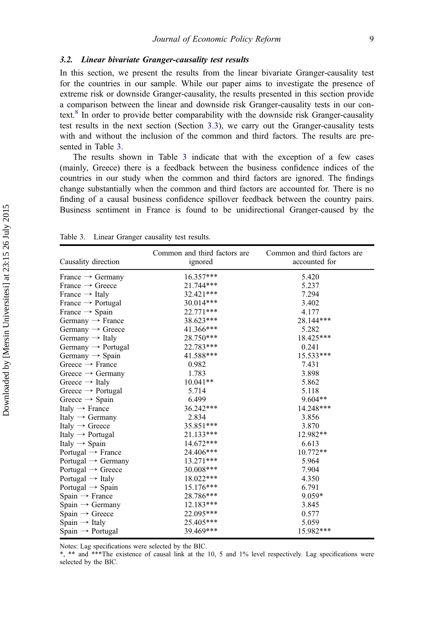## <span id="page-10-0"></span>3.2. Linear bivariate Granger-causality test results

In this section, we present the results from the linear bivariate Granger-causality test for the countries in our sample. While our paper aims to investigate the presence of extreme risk or downside Granger-causality, the results presented in this section provide a comparison between the linear and downside risk Granger-causality tests in our con-text.<sup>[8](#page-17-0)</sup> In order to provide better comparability with the downside risk Granger-causality test results in the next section (Section [3.3](#page-11-0)), we carry out the Granger-causality tests with and without the inclusion of the common and third factors. The results are presented in Table 3.

The results shown in Table 3 indicate that with the exception of a few cases (mainly, Greece) there is a feedback between the business confidence indices of the countries in our study when the common and third factors are ignored. The findings change substantially when the common and third factors are accounted for. There is no finding of a causal business confidence spillover feedback between the country pairs. Business sentiment in France is found to be unidirectional Granger-caused by the

| Causality direction            | Common and third factors are<br>ignored | Common and third factors are<br>accounted for |
|--------------------------------|-----------------------------------------|-----------------------------------------------|
| France $\rightarrow$ Germany   | 16.357***                               | 5.420                                         |
| France $\rightarrow$ Greece    | 21.744***                               | 5.237                                         |
| France $\rightarrow$ Italy     | 32.421***                               | 7.294                                         |
| France $\rightarrow$ Portugal  | 30.014***                               | 3.402                                         |
| France $\rightarrow$ Spain     | 22.771***                               | 4.177                                         |
| Germany $\rightarrow$ France   | 38.623***                               | 28.144***                                     |
| Germany $\rightarrow$ Greece   | 41.366***                               | 5.282                                         |
| Germany $\rightarrow$ Italy    | 28.750***                               | 18.425***                                     |
| Germany $\rightarrow$ Portugal | 22.783***                               | 0.241                                         |
| Germany $\rightarrow$ Spain    | 41.588***                               | 15.533***                                     |
| Greece $\rightarrow$ France    | 0.982                                   | 7.431                                         |
| Greece $\rightarrow$ Germany   | 1.783                                   | 3.898                                         |
| Greece $\rightarrow$ Italy     | $10.041**$                              | 5.862                                         |
| Greece $\rightarrow$ Portugal  | 5.714                                   | 5.118                                         |
| Greece $\rightarrow$ Spain     | 6.499                                   | $9.604**$                                     |
| Italy $\rightarrow$ France     | 36.242***                               | 14.248***                                     |
| Italy $\rightarrow$ Germany    | 2.834                                   | 3.856                                         |
| Italy $\rightarrow$ Greece     | 35.851***                               | 3.870                                         |
| Italy $\rightarrow$ Portugal   | 21.133***                               | 12.982**                                      |
| Italy $\rightarrow$ Spain      | 14.672***                               | 6.613                                         |
| Portugal $\rightarrow$ France  | 24.406***                               | $10.772**$                                    |
| Portugal $\rightarrow$ Germany | 13.271***                               | 5.964                                         |
| Portugal $\rightarrow$ Greece  | 30.008***                               | 7.904                                         |
| Portugal $\rightarrow$ Italy   | 18.022***                               | 4.350                                         |
| Portugal $\rightarrow$ Spain   | 15.176***                               | 6.791                                         |
| $Span \rightarrow$ France      | 28.786***                               | $9.059*$                                      |
| Spain $\rightarrow$ Germany    | $12.183***$                             | 3.845                                         |
| Spain $\rightarrow$ Greece     | 22.095***                               | 0.577                                         |
| Spain $\rightarrow$ Italy      | 25.405***                               | 5.059                                         |
| Spain $\rightarrow$ Portugal   | 39.469***                               | 15.982***                                     |

Table 3. Linear Granger causality test results.

Notes: Lag specifications were selected by the BIC.

\*, \*\* and \*\*\*The existence of causal link at the 10, 5 and 1% level respectively. Lag specifications were selected by the BIC.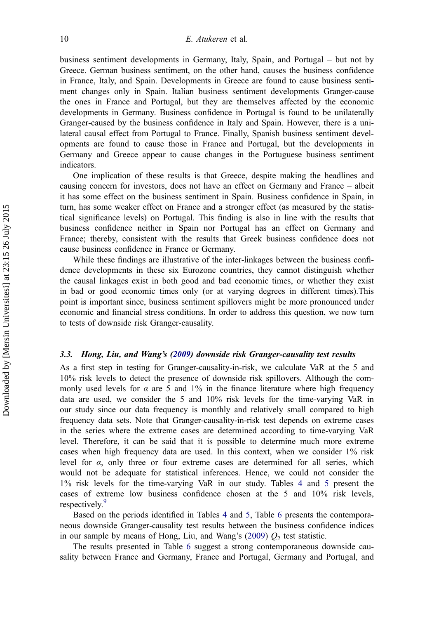<span id="page-11-0"></span>business sentiment developments in Germany, Italy, Spain, and Portugal – but not by Greece. German business sentiment, on the other hand, causes the business confidence in France, Italy, and Spain. Developments in Greece are found to cause business sentiment changes only in Spain. Italian business sentiment developments Granger-cause the ones in France and Portugal, but they are themselves affected by the economic developments in Germany. Business confidence in Portugal is found to be unilaterally Granger-caused by the business confidence in Italy and Spain. However, there is a unilateral causal effect from Portugal to France. Finally, Spanish business sentiment developments are found to cause those in France and Portugal, but the developments in Germany and Greece appear to cause changes in the Portuguese business sentiment indicators.

One implication of these results is that Greece, despite making the headlines and causing concern for investors, does not have an effect on Germany and France – albeit it has some effect on the business sentiment in Spain. Business confidence in Spain, in turn, has some weaker effect on France and a stronger effect (as measured by the statistical significance levels) on Portugal. This finding is also in line with the results that business confidence neither in Spain nor Portugal has an effect on Germany and France; thereby, consistent with the results that Greek business confidence does not cause business confidence in France or Germany.

While these findings are illustrative of the inter-linkages between the business confidence developments in these six Eurozone countries, they cannot distinguish whether the causal linkages exist in both good and bad economic times, or whether they exist in bad or good economic times only (or at varying degrees in different times).This point is important since, business sentiment spillovers might be more pronounced under economic and financial stress conditions. In order to address this question, we now turn to tests of downside risk Granger-causality.

#### 3.3. Hong, Liu, and Wang's ([2009\)](#page-18-0) downside risk Granger-causality test results

As a first step in testing for Granger-causality-in-risk, we calculate VaR at the 5 and 10% risk levels to detect the presence of downside risk spillovers. Although the commonly used levels for  $\alpha$  are 5 and 1% in the finance literature where high frequency data are used, we consider the 5 and 10% risk levels for the time-varying VaR in our study since our data frequency is monthly and relatively small compared to high frequency data sets. Note that Granger-causality-in-risk test depends on extreme cases in the series where the extreme cases are determined according to time-varying VaR level. Therefore, it can be said that it is possible to determine much more extreme cases when high frequency data are used. In this context, when we consider 1% risk level for  $\alpha$ , only three or four extreme cases are determined for all series, which would not be adequate for statistical inferences. Hence, we could not consider the 1% risk levels for the time-varying VaR in our study. Tables [4](#page-12-0) and [5](#page-13-0) present the cases of extreme low business confidence chosen at the 5 and 10% risk levels, respectively.<sup>[9](#page-17-0)</sup>

Based on the periods identified in Tables [4](#page-12-0) and [5](#page-13-0), Table [6](#page-14-0) presents the contemporaneous downside Granger-causality test results between the business confidence indices in our sample by means of Hong, Liu, and Wang's  $(2009) Q<sub>2</sub>$  $(2009) Q<sub>2</sub>$  $(2009) Q<sub>2</sub>$  test statistic.

The results presented in Table [6](#page-14-0) suggest a strong contemporaneous downside causality between France and Germany, France and Portugal, Germany and Portugal, and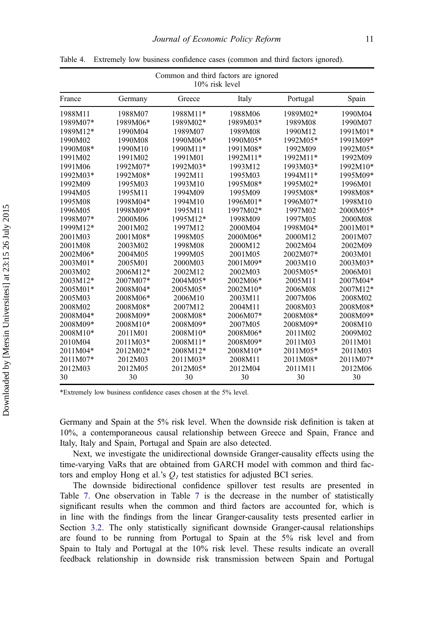|          |          | Common and third factors are ignored | $10\%$ risk level |          |          |
|----------|----------|--------------------------------------|-------------------|----------|----------|
| France   | Germany  | Greece                               | Italy             | Portugal | Spain    |
| 1988M11  | 1988M07  | 1988M11*                             | 1988M06           | 1989M02* | 1990M04  |
| 1989M07* | 1989M06* | 1989M02*                             | 1989M03*          | 1989M08  | 1990M07  |
| 1989M12* | 1990M04  | 1989M07                              | 1989M08           | 1990M12  | 1991M01* |
| 1990M02  | 1990M08  | 1990M06*                             | 1990M05*          | 1992M05* | 1991M09* |
| 1990M08* | 1990M10  | 1990M11*                             | 1991M08*          | 1992M09  | 1992M05* |
| 1991M02  | 1991M02  | 1991M01                              | 1992M11*          | 1992M11* | 1992M09  |
| 1991M06  | 1992M07* | 1992M03*                             | 1993M12           | 1993M03* | 1992M10* |
| 1992M03* | 1992M08* | 1992M11                              | 1995M03           | 1994M11* | 1995M09* |
| 1992M09  | 1995M03  | 1993M10                              | 1995M08*          | 1995M02* | 1996M01  |
| 1994M05  | 1995M11  | 1994M09                              | 1995M09           | 1995M08* | 1998M08* |
| 1995M08  | 1998M04* | 1994M10                              | 1996M01*          | 1996M07* | 1998M10  |
| 1996M05  | 1998M09* | 1995M11                              | 1997M02*          | 1997M02  | 2000M05* |
| 1998M07* | 2000M06  | 1995M12*                             | 1998M09           | 1997M05  | 2000M08  |
| 1999M12* | 2001M02  | 1997M12                              | 2000M04           | 1998M04* | 2001M01* |
| 2001M03  | 2001M08* | 1998M05                              | 2000M06*          | 2000M12  | 2001M07  |
| 2001M08  | 2003M02  | 1998M08                              | 2000M12           | 2002M04  | 2002M09  |
| 2002M06* | 2004M05  | 1999M05                              | 2001M05           | 2002M07* | 2003M01  |
| 2003M01* | 2005M01  | 2000M03                              | 2001M09*          | 2003M10  | 2003M03* |
| 2003M02  | 2006M12* | 2002M12                              | 2002M03           | 2005M05* | 2006M01  |
| 2003M12* | 2007M07* | 2004M05*                             | 2002M06*          | 2005M11  | 2007M04* |
| 2005M01* | 2008M04* | 2005M05*                             | 2002M10*          | 2006M08  | 2007M12* |
| 2005M03  | 2008M06* | 2006M10                              | 2003M11           | 2007M06  | 2008M02  |
| 2008M02  | 2008M08* | 2007M12                              | 2004M11           | 2008M03  | 2008M08* |
| 2008M04* | 2008M09* | 2008M08*                             | 2006M07*          | 2008M08* | 2008M09* |
| 2008M09* | 2008M10* | 2008M09*                             | 2007M05           | 2008M09* | 2008M10  |
| 2008M10* | 2011M01  | 2008M10*                             | 2008M06*          | 2011M02  | 2009M02  |
| 2010M04  | 2011M03* | 2008M11*                             | 2008M09*          | 2011M03  | 2011M01  |
| 2011M04* | 2012M02* | 2008M12*                             | 2008M10*          | 2011M05* | 2011M03  |
| 2011M07* | 2012M03  | 2011M03*                             | 2008M11           | 2011M08* | 2011M07* |
| 2012M03  | 2012M05  | 2012M05*                             | 2012M04           | 2011M11  | 2012M06  |
| 30       | 30       | 30                                   | 30                | 30       | 30       |

<span id="page-12-0"></span>Table 4. Extremely low business confidence cases (common and third factors ignored).

\*Extremely low business confidence cases chosen at the 5% level.

Germany and Spain at the 5% risk level. When the downside risk definition is taken at 10%, a contemporaneous causal relationship between Greece and Spain, France and Italy, Italy and Spain, Portugal and Spain are also detected.

Next, we investigate the unidirectional downside Granger-causality effects using the time-varying VaRs that are obtained from GARCH model with common and third factors and employ Hong et al.'s  $Q<sub>I</sub>$  test statistics for adjusted BCI series.

The downside bidirectional confidence spillover test results are presented in Table [7](#page-15-0). One observation in Table [7](#page-15-0) is the decrease in the number of statistically significant results when the common and third factors are accounted for, which is in line with the findings from the linear Granger-causality tests presented earlier in Section [3.2.](#page-10-0) The only statistically significant downside Granger-causal relationships are found to be running from Portugal to Spain at the 5% risk level and from Spain to Italy and Portugal at the 10% risk level. These results indicate an overall feedback relationship in downside risk transmission between Spain and Portugal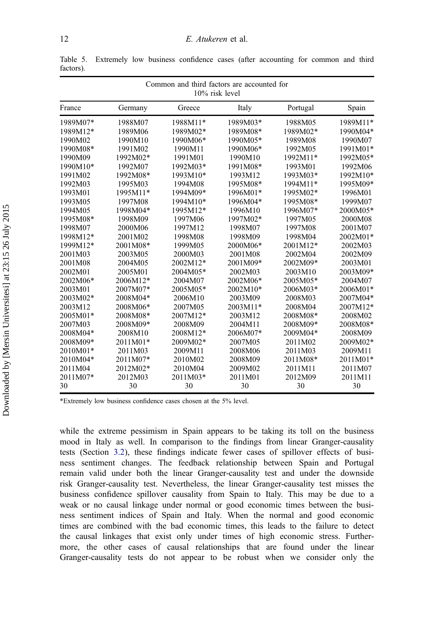<span id="page-13-0"></span>Table 5. Extremely low business confidence cases (after accounting for common and third factors).

|          |          | Common and third factors are accounted for | $10\%$ risk level |          |          |
|----------|----------|--------------------------------------------|-------------------|----------|----------|
| France   | Germany  | Greece                                     | Italy             | Portugal | Spain    |
| 1989M07* | 1988M07  | 1988M11*                                   | 1989M03*          | 1988M05  | 1989M11* |
| 1989M12* | 1989M06  | 1989M02*                                   | 1989M08*          | 1989M02* | 1990M04* |
| 1990M02  | 1990M10  | 1990M06*                                   | 1990M05*          | 1989M08  | 1990M07  |
| 1990M08* | 1991M02  | 1990M11                                    | 1990M06*          | 1992M05  | 1991M01* |
| 1990M09  | 1992M02* | 1991M01                                    | 1990M10           | 1992M11* | 1992M05* |
| 1990M10* | 1992M07  | 1992M03*                                   | 1991M08*          | 1993M01  | 1992M06  |
| 1991M02  | 1992M08* | 1993M10*                                   | 1993M12           | 1993M03* | 1992M10* |
| 1992M03  | 1995M03  | 1994M08                                    | 1995M08*          | 1994M11* | 1995M09* |
| 1993M01  | 1995M11* | 1994M09*                                   | 1996M01*          | 1995M02* | 1996M01  |
| 1993M05  | 1997M08  | 1994M10*                                   | 1996M04*          | 1995M08* | 1999M07  |
| 1994M05  | 1998M04* | 1995M12*                                   | 1996M10           | 1996M07* | 2000M05* |
| 1995M08* | 1998M09  | 1997M06                                    | 1997M02*          | 1997M05  | 2000M08  |
| 1998M07  | 2000M06  | 1997M12                                    | 1998M07           | 1997M08  | 2001M07  |
| 1998M12* | 2001M02  | 1998M08                                    | 1998M09           | 1998M04  | 2002M01* |
| 1999M12* | 2001M08* | 1999M05                                    | 2000M06*          | 2001M12* | 2002M03  |
| 2001M03  | 2003M05  | 2000M03                                    | 2001M08           | 2002M04  | 2002M09  |
| 2001M08  | 2004M05  | 2002M12*                                   | 2001M09*          | 2002M09* | 2003M01  |
| 2002M01  | 2005M01  | 2004M05*                                   | 2002M03           | 2003M10  | 2003M09* |
| 2002M06* | 2006M12* | 2004M07                                    | 2002M06*          | 2005M05* | 2004M07  |
| 2003M01  | 2007M07* | 2005M05*                                   | 2002M10*          | 2006M03* | 2006M01* |
| 2003M02* | 2008M04* | 2006M10                                    | 2003M09           | 2008M03  | 2007M04* |
| 2003M12  | 2008M06* | 2007M05                                    | 2003M11*          | 2008M04  | 2007M12* |
| 2005M01* | 2008M08* | 2007M12*                                   | 2003M12           | 2008M08* | 2008M02  |
| 2007M03  | 2008M09* | 2008M09                                    | 2004M11           | 2008M09* | 2008M08* |
| 2008M04* | 2008M10  | 2008M12*                                   | 2006M07*          | 2009M04* | 2008M09  |
| 2008M09* | 2011M01* | 2009M02*                                   | 2007M05           | 2011M02  | 2009M02* |
| 2010M01* | 2011M03  | 2009M11                                    | 2008M06           | 2011M03  | 2009M11  |
| 2010M04* | 2011M07* | 2010M02                                    | 2008M09           | 2011M08* | 2011M01* |
| 2011M04  | 2012M02* | 2010M04                                    | 2009M02           | 2011M11  | 2011M07  |
| 2011M07* | 2012M03  | 2011M03*                                   | 2011M01           | 2012M09  | 2011M11  |
| 30       | 30       | 30                                         | 30                | 30       | 30       |

\*Extremely low business confidence cases chosen at the 5% level.

while the extreme pessimism in Spain appears to be taking its toll on the business mood in Italy as well. In comparison to the findings from linear Granger-causality tests (Section [3.2\)](#page-10-0), these findings indicate fewer cases of spillover effects of business sentiment changes. The feedback relationship between Spain and Portugal remain valid under both the linear Granger-causality test and under the downside risk Granger-causality test. Nevertheless, the linear Granger-causality test misses the business confidence spillover causality from Spain to Italy. This may be due to a weak or no causal linkage under normal or good economic times between the business sentiment indices of Spain and Italy. When the normal and good economic times are combined with the bad economic times, this leads to the failure to detect the causal linkages that exist only under times of high economic stress. Furthermore, the other cases of causal relationships that are found under the linear Granger-causality tests do not appear to be robust when we consider only the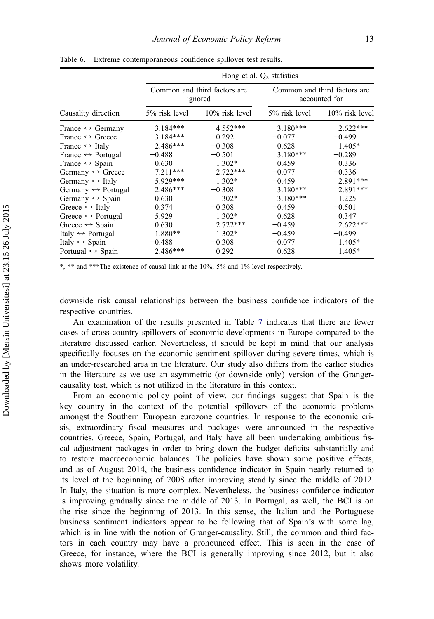|                                    |               |                                         | Hong et al. $Q_2$ statistics |                                               |
|------------------------------------|---------------|-----------------------------------------|------------------------------|-----------------------------------------------|
|                                    |               | Common and third factors are<br>ignored |                              | Common and third factors are<br>accounted for |
| Causality direction                | 5% risk level | $10\%$ risk level                       | 5% risk level                | $10\%$ risk level                             |
| France $\leftrightarrow$ Germany   | $3.184***$    | $4.552***$                              | $3.180***$                   | $2.622***$                                    |
| France $\leftrightarrow$ Greece    | $3.184***$    | 0.292                                   | $-0.077$                     | $-0.499$                                      |
| France $\leftrightarrow$ Italy     | $2.486***$    | $-0.308$                                | 0.628                        | $1.405*$                                      |
| France $\leftrightarrow$ Portugal  | $-0.488$      | $-0.501$                                | $3.180***$                   | $-0.289$                                      |
| France $\leftrightarrow$ Spain     | 0.630         | $1.302*$                                | $-0.459$                     | $-0.336$                                      |
| Germany $\leftrightarrow$ Greece   | $7.211***$    | $2.722***$                              | $-0.077$                     | $-0.336$                                      |
| Germany $\leftrightarrow$ Italy    | 5.929***      | $1.302*$                                | $-0.459$                     | $2.891***$                                    |
| Germany $\leftrightarrow$ Portugal | $2.486***$    | $-0.308$                                | $3.180***$                   | $2.891***$                                    |
| Germany $\leftrightarrow$ Spain    | 0.630         | $1.302*$                                | $3.180***$                   | 1.225                                         |
| Greece $\leftrightarrow$ Italy     | 0.374         | $-0.308$                                | $-0.459$                     | $-0.501$                                      |
| Greece $\leftrightarrow$ Portugal  | 5.929         | $1.302*$                                | 0.628                        | 0.347                                         |
| Greece $\leftrightarrow$ Spain     | 0.630         | $2.722***$                              | $-0.459$                     | $2.622***$                                    |
| Italy $\leftrightarrow$ Portugal   | $1.880**$     | $1.302*$                                | $-0.459$                     | $-0.499$                                      |
| Italy $\leftrightarrow$ Spain      | $-0.488$      | $-0.308$                                | $-0.077$                     | $1.405*$                                      |
| Portugal $\leftrightarrow$ Spain   | $2.486***$    | 0.292                                   | 0.628                        | $1.405*$                                      |

<span id="page-14-0"></span>Table 6. Extreme contemporaneous confidence spillover test results.

\*, \*\* and \*\*\*The existence of causal link at the 10%, 5% and 1% level respectively.

downside risk causal relationships between the business confidence indicators of the respective countries.

An examination of the results presented in Table [7](#page-15-0) indicates that there are fewer cases of cross-country spillovers of economic developments in Europe compared to the literature discussed earlier. Nevertheless, it should be kept in mind that our analysis specifically focuses on the economic sentiment spillover during severe times, which is an under-researched area in the literature. Our study also differs from the earlier studies in the literature as we use an asymmetric (or downside only) version of the Grangercausality test, which is not utilized in the literature in this context.

From an economic policy point of view, our findings suggest that Spain is the key country in the context of the potential spillovers of the economic problems amongst the Southern European eurozone countries. In response to the economic crisis, extraordinary fiscal measures and packages were announced in the respective countries. Greece, Spain, Portugal, and Italy have all been undertaking ambitious fiscal adjustment packages in order to bring down the budget deficits substantially and to restore macroeconomic balances. The policies have shown some positive effects, and as of August 2014, the business confidence indicator in Spain nearly returned to its level at the beginning of 2008 after improving steadily since the middle of 2012. In Italy, the situation is more complex. Nevertheless, the business confidence indicator is improving gradually since the middle of 2013. In Portugal, as well, the BCI is on the rise since the beginning of 2013. In this sense, the Italian and the Portuguese business sentiment indicators appear to be following that of Spain's with some lag, which is in line with the notion of Granger-causality. Still, the common and third factors in each country may have a pronounced effect. This is seen in the case of Greece, for instance, where the BCI is generally improving since 2012, but it also shows more volatility.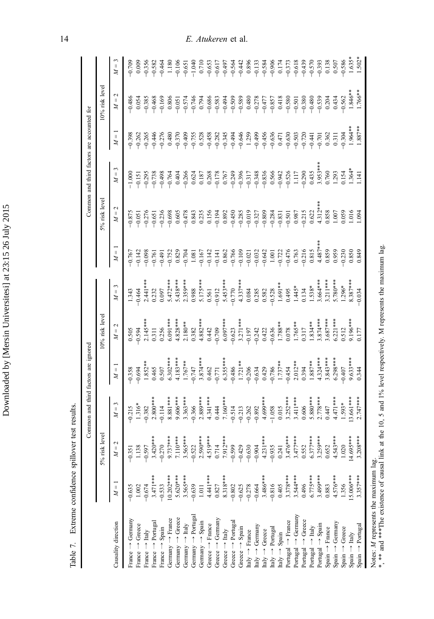| ֠<br>ĺ<br>I<br>l<br>Í<br>l<br>l<br>I<br>١<br>I<br>l<br>l<br>ı<br>֕<br>l<br>l<br>I<br>ļ<br>֠<br>ļ | ֕ |
|--------------------------------------------------------------------------------------------------|---|
|                                                                                                  |   |
|                                                                                                  |   |
|                                                                                                  |   |
|                                                                                                  |   |
|                                                                                                  |   |
|                                                                                                  |   |

Table 7. Extreme confidence spillover test results. Table 7. Extreme confidence spillover test results.

|                                |                                |                                                              |                         | Common and third factors are ignored                                                                                                                                                                                                                                           |                                                                                                                                                                                                                                                                                                                          |                      |                                           |                                                                                                                                                                                                                                                                                                                                                                                                                                                                                                                       |                                                                                                                                                                                                                                                                                                                                                                                                                               | Common and third factors are accounted for                        |                                                                                                                                                                                                                                                                                                                                                                                               |       |
|--------------------------------|--------------------------------|--------------------------------------------------------------|-------------------------|--------------------------------------------------------------------------------------------------------------------------------------------------------------------------------------------------------------------------------------------------------------------------------|--------------------------------------------------------------------------------------------------------------------------------------------------------------------------------------------------------------------------------------------------------------------------------------------------------------------------|----------------------|-------------------------------------------|-----------------------------------------------------------------------------------------------------------------------------------------------------------------------------------------------------------------------------------------------------------------------------------------------------------------------------------------------------------------------------------------------------------------------------------------------------------------------------------------------------------------------|-------------------------------------------------------------------------------------------------------------------------------------------------------------------------------------------------------------------------------------------------------------------------------------------------------------------------------------------------------------------------------------------------------------------------------|-------------------------------------------------------------------|-----------------------------------------------------------------------------------------------------------------------------------------------------------------------------------------------------------------------------------------------------------------------------------------------------------------------------------------------------------------------------------------------|-------|
|                                |                                | 5% risk level                                                |                         |                                                                                                                                                                                                                                                                                | 0% risk level                                                                                                                                                                                                                                                                                                            |                      |                                           | 5% risk level                                                                                                                                                                                                                                                                                                                                                                                                                                                                                                         |                                                                                                                                                                                                                                                                                                                                                                                                                               |                                                                   | 0% risk level                                                                                                                                                                                                                                                                                                                                                                                 |       |
| Causality direction            | $\overline{1}$<br>$\mathbb{Z}$ | $\parallel$<br>$\overline{M}$                                | $M =$                   | $M =$                                                                                                                                                                                                                                                                          | $M =$                                                                                                                                                                                                                                                                                                                    | 3<br>$M =$           | $M =$                                     | $M =$                                                                                                                                                                                                                                                                                                                                                                                                                                                                                                                 | $M =$                                                                                                                                                                                                                                                                                                                                                                                                                         | $M =$                                                             | $M = 2$                                                                                                                                                                                                                                                                                                                                                                                       | $M=3$ |
| France $\rightarrow$ Germany   | $-0.635$                       | $-0.35$                                                      |                         | 0.358                                                                                                                                                                                                                                                                          |                                                                                                                                                                                                                                                                                                                          | 1.343                | 0.767                                     |                                                                                                                                                                                                                                                                                                                                                                                                                                                                                                                       |                                                                                                                                                                                                                                                                                                                                                                                                                               | 0.398                                                             | $-0.486$                                                                                                                                                                                                                                                                                                                                                                                      |       |
| France $\rightarrow$ Greece    | 1.002                          | $\infty$<br>1.13                                             |                         | $-6.85$<br>$-1.85$<br>$-1.67$<br>$-1.767$<br>$-1.767$<br>$-1.77$<br>$-1.77$<br>$-1.77$<br>$-1.77$<br>$-1.77$<br>$-1.77$<br>$-1.79$<br>$-1.79$<br>$-1.79$<br>$-1.79$<br>$-1.79$<br>$-1.79$<br>$-1.79$<br>$-1.79$<br>$-1.79$<br>$-1.79$<br>$-1.79$<br>$-1.79$<br>$-1.79$<br>$-1$ | $\begin{array}{r} 0.505 \\ -0.594 \\ -0.544 \\ -0.591 \\ -0.5444 \\ -0.591 \\ -0.59444 \\ -0.591 \\ -0.592 \\ -0.593 \\ -0.5944 \\ -0.592 \\ -0.593 \\ -0.5944 \\ -0.5944 \\ -0.5944 \\ -0.5944 \\ -0.5944 \\ -0.5944 \\ -0.5944 \\ -0.5944 \\ -0.5944 \\ -0.5944 \\ -0.5944 \\ -0.5944 \\ -0.5944 \\ -0.5944 \\ -0.594$ |                      | $-0.142$                                  | $\begin{array}{l} \kappa\, \overline{\phantom{a}}\, \overline{\phantom{a}}\, \overline{\phantom{a}}\, \overline{\phantom{a}}\, \overline{\phantom{a}}\, \overline{\phantom{a}}\, \overline{\phantom{a}}\, \overline{\phantom{a}}\, \overline{\phantom{a}}\, \overline{\phantom{a}}\, \overline{\phantom{a}}\, \overline{\phantom{a}}\, \overline{\phantom{a}}\, \overline{\phantom{a}}\, \overline{\phantom{a}}\, \overline{\phantom{a}}\, \overline{\phantom{a}}\, \overline{\phantom{a}}\, \overline{\phantom{a}}\$ | $\begin{array}{cccccccccc} 0 & \text{I} & \text{I} & \text{S} & \text{S} & \text{S} & \text{S} & \text{S} & \text{S} & \text{S} & \text{S} & \text{S} & \text{S} & \text{S} & \text{S} & \text{S} & \text{S} & \text{S} & \text{S} & \text{S} & \text{S} & \text{S} & \text{S} & \text{S} & \text{S} & \text{S} & \text{S} & \text{S} & \text{S} & \text{S} & \text{S} & \text{S} & \text{S} & \text{S} & \text{S} & \text{S$ |                                                                   |                                                                                                                                                                                                                                                                                                                                                                                               | 0.009 |
| France $\rightarrow$ Italy     | $-0.674$                       | $-0.59$                                                      |                         |                                                                                                                                                                                                                                                                                |                                                                                                                                                                                                                                                                                                                          |                      | $-0.098$                                  |                                                                                                                                                                                                                                                                                                                                                                                                                                                                                                                       |                                                                                                                                                                                                                                                                                                                                                                                                                               |                                                                   | $\begin{array}{l} 55 \text{ } 89 \text{ } 69 \text{ } 89 \text{ } 50 \text{ } 57 \text{ } 74 \text{ } 75 \text{ } 89 \text{ } 89 \text{ } 75 \text{ } 75 \text{ } 75 \text{ } 75 \text{ } 75 \text{ } 75 \text{ } 75 \text{ } 75 \text{ } 75 \text{ } 75 \text{ } 75 \text{ } 75 \text{ } 75 \text{ } 75 \text{ } 75 \text{ } 75 \text{ } 75 \text{ } 75 \text{ } 75 \text{ } 75 \text{ } 75$ |       |
| France $\rightarrow$ Portugal  | $3.471***$                     | 3.42                                                         |                         |                                                                                                                                                                                                                                                                                |                                                                                                                                                                                                                                                                                                                          |                      |                                           |                                                                                                                                                                                                                                                                                                                                                                                                                                                                                                                       |                                                                                                                                                                                                                                                                                                                                                                                                                               |                                                                   |                                                                                                                                                                                                                                                                                                                                                                                               |       |
| France $\rightarrow$ Spain     | $-0.533$                       | ****<br>0<br>0<br>7***<br>$-0.27$                            |                         |                                                                                                                                                                                                                                                                                |                                                                                                                                                                                                                                                                                                                          |                      |                                           |                                                                                                                                                                                                                                                                                                                                                                                                                                                                                                                       |                                                                                                                                                                                                                                                                                                                                                                                                                               |                                                                   |                                                                                                                                                                                                                                                                                                                                                                                               |       |
| $Germany \rightarrow France$   | $10.202***$                    | 9.73                                                         |                         |                                                                                                                                                                                                                                                                                |                                                                                                                                                                                                                                                                                                                          |                      |                                           |                                                                                                                                                                                                                                                                                                                                                                                                                                                                                                                       |                                                                                                                                                                                                                                                                                                                                                                                                                               |                                                                   |                                                                                                                                                                                                                                                                                                                                                                                               |       |
| Germany $\rightarrow$ Greece   | $5.620***$                     | $7.11$                                                       |                         |                                                                                                                                                                                                                                                                                |                                                                                                                                                                                                                                                                                                                          |                      |                                           |                                                                                                                                                                                                                                                                                                                                                                                                                                                                                                                       |                                                                                                                                                                                                                                                                                                                                                                                                                               |                                                                   |                                                                                                                                                                                                                                                                                                                                                                                               |       |
| Germany $\rightarrow$ Italy    | $3.565***$                     | 3.56                                                         |                         |                                                                                                                                                                                                                                                                                |                                                                                                                                                                                                                                                                                                                          |                      |                                           |                                                                                                                                                                                                                                                                                                                                                                                                                                                                                                                       |                                                                                                                                                                                                                                                                                                                                                                                                                               |                                                                   |                                                                                                                                                                                                                                                                                                                                                                                               |       |
| Germany $\rightarrow$ Portugal | $-0.639$                       | $0.0004$<br>$0.0004$<br>$-0.52$                              |                         |                                                                                                                                                                                                                                                                                |                                                                                                                                                                                                                                                                                                                          |                      |                                           |                                                                                                                                                                                                                                                                                                                                                                                                                                                                                                                       |                                                                                                                                                                                                                                                                                                                                                                                                                               |                                                                   |                                                                                                                                                                                                                                                                                                                                                                                               |       |
| Germany $\rightarrow$ Spain    | 1.011                          | 2.59                                                         |                         |                                                                                                                                                                                                                                                                                |                                                                                                                                                                                                                                                                                                                          |                      |                                           |                                                                                                                                                                                                                                                                                                                                                                                                                                                                                                                       |                                                                                                                                                                                                                                                                                                                                                                                                                               |                                                                   |                                                                                                                                                                                                                                                                                                                                                                                               |       |
| Greece $\rightarrow$ France    | 4.441 ***                      | 4.51                                                         |                         |                                                                                                                                                                                                                                                                                |                                                                                                                                                                                                                                                                                                                          |                      |                                           |                                                                                                                                                                                                                                                                                                                                                                                                                                                                                                                       |                                                                                                                                                                                                                                                                                                                                                                                                                               |                                                                   |                                                                                                                                                                                                                                                                                                                                                                                               |       |
| Greece $\rightarrow$ Germany   | 0.827                          | 0.71                                                         |                         |                                                                                                                                                                                                                                                                                |                                                                                                                                                                                                                                                                                                                          |                      |                                           |                                                                                                                                                                                                                                                                                                                                                                                                                                                                                                                       |                                                                                                                                                                                                                                                                                                                                                                                                                               |                                                                   |                                                                                                                                                                                                                                                                                                                                                                                               |       |
| Greece $\rightarrow$ Italy     | 8.318***                       | $2***$<br>7.91                                               |                         |                                                                                                                                                                                                                                                                                |                                                                                                                                                                                                                                                                                                                          |                      |                                           |                                                                                                                                                                                                                                                                                                                                                                                                                                                                                                                       |                                                                                                                                                                                                                                                                                                                                                                                                                               |                                                                   |                                                                                                                                                                                                                                                                                                                                                                                               |       |
| Greece $\rightarrow$ Portugal  | $-0.802$                       | $-0.599$<br>$-0.429$<br>$0.630$<br>$0.630$                   |                         |                                                                                                                                                                                                                                                                                |                                                                                                                                                                                                                                                                                                                          |                      |                                           |                                                                                                                                                                                                                                                                                                                                                                                                                                                                                                                       |                                                                                                                                                                                                                                                                                                                                                                                                                               |                                                                   |                                                                                                                                                                                                                                                                                                                                                                                               |       |
| Greece $\rightarrow$ Spain     | $-0.625$                       |                                                              |                         |                                                                                                                                                                                                                                                                                |                                                                                                                                                                                                                                                                                                                          |                      |                                           |                                                                                                                                                                                                                                                                                                                                                                                                                                                                                                                       |                                                                                                                                                                                                                                                                                                                                                                                                                               |                                                                   |                                                                                                                                                                                                                                                                                                                                                                                               |       |
| taly $\rightarrow$ France      | $-0.278$                       |                                                              |                         |                                                                                                                                                                                                                                                                                |                                                                                                                                                                                                                                                                                                                          |                      |                                           |                                                                                                                                                                                                                                                                                                                                                                                                                                                                                                                       |                                                                                                                                                                                                                                                                                                                                                                                                                               |                                                                   |                                                                                                                                                                                                                                                                                                                                                                                               |       |
| Italy $\rightarrow$ Germany    | $-0.664$                       |                                                              |                         |                                                                                                                                                                                                                                                                                |                                                                                                                                                                                                                                                                                                                          |                      |                                           |                                                                                                                                                                                                                                                                                                                                                                                                                                                                                                                       |                                                                                                                                                                                                                                                                                                                                                                                                                               |                                                                   |                                                                                                                                                                                                                                                                                                                                                                                               |       |
| Italy $\rightarrow$ Greece     | $3.486***$                     |                                                              |                         |                                                                                                                                                                                                                                                                                |                                                                                                                                                                                                                                                                                                                          |                      |                                           |                                                                                                                                                                                                                                                                                                                                                                                                                                                                                                                       |                                                                                                                                                                                                                                                                                                                                                                                                                               |                                                                   |                                                                                                                                                                                                                                                                                                                                                                                               |       |
| Italy $\rightarrow$ Portugal   | $-0.816$                       | $-0.93$                                                      |                         |                                                                                                                                                                                                                                                                                |                                                                                                                                                                                                                                                                                                                          |                      |                                           |                                                                                                                                                                                                                                                                                                                                                                                                                                                                                                                       |                                                                                                                                                                                                                                                                                                                                                                                                                               |                                                                   |                                                                                                                                                                                                                                                                                                                                                                                               |       |
| Italy $\rightarrow$ Spain      | 0.405                          |                                                              |                         |                                                                                                                                                                                                                                                                                |                                                                                                                                                                                                                                                                                                                          |                      |                                           |                                                                                                                                                                                                                                                                                                                                                                                                                                                                                                                       |                                                                                                                                                                                                                                                                                                                                                                                                                               |                                                                   |                                                                                                                                                                                                                                                                                                                                                                                               |       |
| Portugal $\rightarrow$ France  | $3.378***$                     |                                                              |                         |                                                                                                                                                                                                                                                                                |                                                                                                                                                                                                                                                                                                                          |                      |                                           |                                                                                                                                                                                                                                                                                                                                                                                                                                                                                                                       |                                                                                                                                                                                                                                                                                                                                                                                                                               |                                                                   |                                                                                                                                                                                                                                                                                                                                                                                               |       |
| Portugal $\rightarrow$ Germany | $3.544***$                     | 4.231***<br>0.935<br>0.241<br>3.477***<br>3.477****<br>0.552 |                         |                                                                                                                                                                                                                                                                                |                                                                                                                                                                                                                                                                                                                          |                      |                                           |                                                                                                                                                                                                                                                                                                                                                                                                                                                                                                                       |                                                                                                                                                                                                                                                                                                                                                                                                                               |                                                                   |                                                                                                                                                                                                                                                                                                                                                                                               |       |
| Portugal $\rightarrow$ Greece  | 0.496                          |                                                              |                         |                                                                                                                                                                                                                                                                                |                                                                                                                                                                                                                                                                                                                          |                      |                                           |                                                                                                                                                                                                                                                                                                                                                                                                                                                                                                                       |                                                                                                                                                                                                                                                                                                                                                                                                                               |                                                                   |                                                                                                                                                                                                                                                                                                                                                                                               |       |
| Portugal $\rightarrow$ Italy   | $6.775***$                     |                                                              |                         |                                                                                                                                                                                                                                                                                |                                                                                                                                                                                                                                                                                                                          |                      |                                           |                                                                                                                                                                                                                                                                                                                                                                                                                                                                                                                       | 0.435                                                                                                                                                                                                                                                                                                                                                                                                                         |                                                                   | $-0.480$                                                                                                                                                                                                                                                                                                                                                                                      |       |
| Portugal $\rightarrow$ Spain   | 3.499***                       | $9***$<br>2 ***<br>9 ***<br>3.25                             |                         | 4.324***<br>3.843***<br>6.298***<br>-0.407                                                                                                                                                                                                                                     |                                                                                                                                                                                                                                                                                                                          |                      | $4.487*$                                  |                                                                                                                                                                                                                                                                                                                                                                                                                                                                                                                       | $\begin{array}{l} 3.953^{***} \\ 0.760 \\ 0.293 \\ 1.364 \\ 1.364 \\ 1.141 \\ \end{array}$                                                                                                                                                                                                                                                                                                                                    |                                                                   | $-0.539$                                                                                                                                                                                                                                                                                                                                                                                      |       |
| Spain $\rightarrow$ France     | 0.883                          | 0.65                                                         |                         |                                                                                                                                                                                                                                                                                |                                                                                                                                                                                                                                                                                                                          |                      | 0.859<br>0.959<br>0.230<br>0.850<br>0.849 | $\begin{array}{c} 0.858 \\ 1.007 \\ 0.039 \end{array}$                                                                                                                                                                                                                                                                                                                                                                                                                                                                |                                                                                                                                                                                                                                                                                                                                                                                                                               | $0.362$<br>$0.311$<br>$0.304$<br>$1.964$<br>$1.887$ <sup>**</sup> | $0.204$<br>$0.434$<br>$-0.562$<br>$1.846**$<br>$1.766**$                                                                                                                                                                                                                                                                                                                                      |       |
| Spain $\rightarrow$ Germany    | $4.576***$                     | 4.54                                                         |                         |                                                                                                                                                                                                                                                                                |                                                                                                                                                                                                                                                                                                                          |                      |                                           |                                                                                                                                                                                                                                                                                                                                                                                                                                                                                                                       |                                                                                                                                                                                                                                                                                                                                                                                                                               |                                                                   |                                                                                                                                                                                                                                                                                                                                                                                               |       |
| $Spin \rightarrow Green$       | 1.356                          | 1.02                                                         |                         |                                                                                                                                                                                                                                                                                |                                                                                                                                                                                                                                                                                                                          |                      |                                           |                                                                                                                                                                                                                                                                                                                                                                                                                                                                                                                       |                                                                                                                                                                                                                                                                                                                                                                                                                               |                                                                   |                                                                                                                                                                                                                                                                                                                                                                                               |       |
| Spain $\rightarrow$ Italy      | $5.006***$                     | 5***<br>14.69                                                | $13.661***$<br>2.747*** | $9.633***$                                                                                                                                                                                                                                                                     |                                                                                                                                                                                                                                                                                                                          |                      |                                           | 1.016<br>1.094                                                                                                                                                                                                                                                                                                                                                                                                                                                                                                        |                                                                                                                                                                                                                                                                                                                                                                                                                               |                                                                   |                                                                                                                                                                                                                                                                                                                                                                                               |       |
| Spain $\rightarrow$ Portugal   | $3.357***$                     | 8***<br>3.20                                                 |                         | 0.344                                                                                                                                                                                                                                                                          |                                                                                                                                                                                                                                                                                                                          | $8.387***$<br>-0.034 |                                           |                                                                                                                                                                                                                                                                                                                                                                                                                                                                                                                       |                                                                                                                                                                                                                                                                                                                                                                                                                               |                                                                   |                                                                                                                                                                                                                                                                                                                                                                                               |       |

Notes: *M* represents the maximum lag.<br>\*, \*\* and \*\*\*The existence of causal link at the 10, 5 and 1% level respectively. M represents the maximum lag. Notes: M represents the maximum lag.

\*, \*\* and \*\*\*The existence of causal link at the 10, 5 and 1% level respectively. M represents the maximum lag.

<span id="page-15-0"></span>14 E. Atukeren et al.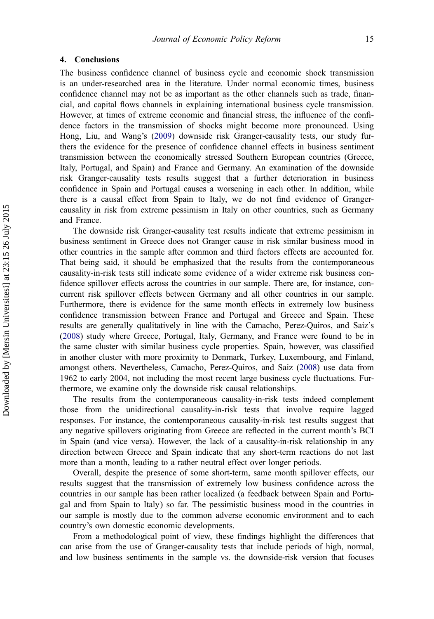### <span id="page-16-0"></span>4. Conclusions

The business confidence channel of business cycle and economic shock transmission is an under-researched area in the literature. Under normal economic times, business confidence channel may not be as important as the other channels such as trade, financial, and capital flows channels in explaining international business cycle transmission. However, at times of extreme economic and financial stress, the influence of the confidence factors in the transmission of shocks might become more pronounced. Using Hong, Liu, and Wang's [\(2009](#page-18-0)) downside risk Granger-causality tests, our study furthers the evidence for the presence of confidence channel effects in business sentiment transmission between the economically stressed Southern European countries (Greece, Italy, Portugal, and Spain) and France and Germany. An examination of the downside risk Granger-causality tests results suggest that a further deterioration in business confidence in Spain and Portugal causes a worsening in each other. In addition, while there is a causal effect from Spain to Italy, we do not find evidence of Grangercausality in risk from extreme pessimism in Italy on other countries, such as Germany and France.

The downside risk Granger-causality test results indicate that extreme pessimism in business sentiment in Greece does not Granger cause in risk similar business mood in other countries in the sample after common and third factors effects are accounted for. That being said, it should be emphasized that the results from the contemporaneous causality-in-risk tests still indicate some evidence of a wider extreme risk business confidence spillover effects across the countries in our sample. There are, for instance, concurrent risk spillover effects between Germany and all other countries in our sample. Furthermore, there is evidence for the same month effects in extremely low business confidence transmission between France and Portugal and Greece and Spain. These results are generally qualitatively in line with the Camacho, Perez-Quiros, and Saiz's [\(2008](#page-17-0)) study where Greece, Portugal, Italy, Germany, and France were found to be in the same cluster with similar business cycle properties. Spain, however, was classified in another cluster with more proximity to Denmark, Turkey, Luxembourg, and Finland, amongst others. Nevertheless, Camacho, Perez-Quiros, and Saiz [\(2008](#page-17-0)) use data from 1962 to early 2004, not including the most recent large business cycle fluctuations. Furthermore, we examine only the downside risk causal relationships.

The results from the contemporaneous causality-in-risk tests indeed complement those from the unidirectional causality-in-risk tests that involve require lagged responses. For instance, the contemporaneous causality-in-risk test results suggest that any negative spillovers originating from Greece are reflected in the current month's BCI in Spain (and vice versa). However, the lack of a causality-in-risk relationship in any direction between Greece and Spain indicate that any short-term reactions do not last more than a month, leading to a rather neutral effect over longer periods.

Overall, despite the presence of some short-term, same month spillover effects, our results suggest that the transmission of extremely low business confidence across the countries in our sample has been rather localized (a feedback between Spain and Portugal and from Spain to Italy) so far. The pessimistic business mood in the countries in our sample is mostly due to the common adverse economic environment and to each country's own domestic economic developments.

From a methodological point of view, these findings highlight the differences that can arise from the use of Granger-causality tests that include periods of high, normal, and low business sentiments in the sample vs. the downside-risk version that focuses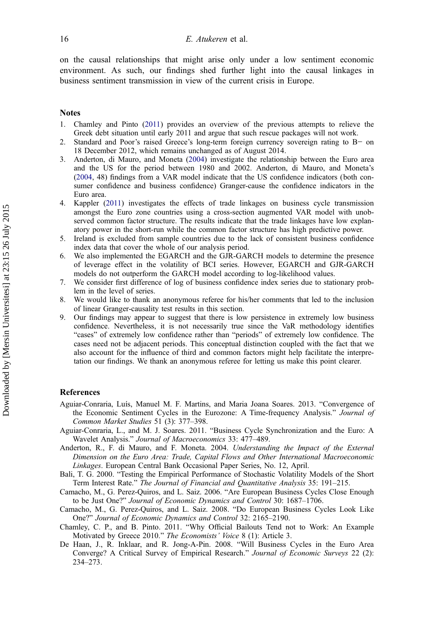<span id="page-17-0"></span>on the causal relationships that might arise only under a low sentiment economic environment. As such, our findings shed further light into the causal linkages in business sentiment transmission in view of the current crisis in Europe.

#### **Notes**

- 1. Chamley and Pinto (2011) provides an overview of the previous attempts to relieve the Greek debt situation until early 2011 and argue that such rescue packages will not work.
- 2. Standard and Poor's raised Greece's long-term foreign currency sovereign rating to B− on 18 December 2012, which remains unchanged as of August 2014.
- 3. Anderton, di Mauro, and Moneta (2004) investigate the relationship between the Euro area and the US for the period between 1980 and 2002. Anderton, di Mauro, and Moneta's (2004, 48) findings from a VAR model indicate that the US confidence indicators (both consumer confidence and business confidence) Granger-cause the confidence indicators in the Euro area.
- 4. Kappler [\(2011](#page-18-0)) investigates the effects of trade linkages on business cycle transmission amongst the Euro zone countries using a cross-section augmented VAR model with unobserved common factor structure. The results indicate that the trade linkages have low explanatory power in the short-run while the common factor structure has high predictive power.
- 5. Ireland is excluded from sample countries due to the lack of consistent business confidence index data that cover the whole of our analysis period.
- 6. We also implemented the EGARCH and the GJR-GARCH models to determine the presence of leverage effect in the volatility of BCI series. However, EGARCH and GJR-GARCH models do not outperform the GARCH model according to log-likelihood values.
- 7. We consider first difference of log of business confidence index series due to stationary problem in the level of series.
- 8. We would like to thank an anonymous referee for his/her comments that led to the inclusion of linear Granger-causality test results in this section.
- 9. Our findings may appear to suggest that there is low persistence in extremely low business confidence. Nevertheless, it is not necessarily true since the VaR methodology identifies "cases" of extremely low confidence rather than "periods" of extremely low confidence. The cases need not be adjacent periods. This conceptual distinction coupled with the fact that we also account for the influence of third and common factors might help facilitate the interpretation our findings. We thank an anonymous referee for letting us make this point clearer.

#### References

- Aguiar-Conraria, Luís, Manuel M. F. Martins, and Maria Joana Soares. 2013. "Convergence of the Economic Sentiment Cycles in the Eurozone: A Time-frequency Analysis." Journal of Common Market Studies 51 (3): 377–398.
- Aguiar-Conraria, L., and M. J. Soares. 2011. "Business Cycle Synchronization and the Euro: A Wavelet Analysis." Journal of Macroeconomics 33: 477–489.
- Anderton, R., F. di Mauro, and F. Moneta. 2004. Understanding the Impact of the External Dimension on the Euro Area: Trade, Capital Flows and Other International Macroeconomic Linkages. European Central Bank Occasional Paper Series, No. 12, April.
- Bali, T. G. 2000. "Testing the Empirical Performance of Stochastic Volatility Models of the Short Term Interest Rate." The Journal of Financial and Quantitative Analysis 35: 191-215.
- Camacho, M., G. Perez-Quiros, and L. Saiz. 2006. "Are European Business Cycles Close Enough to be Just One?" Journal of Economic Dynamics and Control 30: 1687–1706.
- Camacho, M., G. Perez-Quiros, and L. Saiz. 2008. "Do European Business Cycles Look Like One?" Journal of Economic Dynamics and Control 32: 2165–2190.
- Chamley, C. P., and B. Pinto. 2011. "Why Official Bailouts Tend not to Work: An Example Motivated by Greece 2010." The Economists' Voice 8 (1): Article 3.
- De Haan, J., R. Inklaar, and R. Jong-A-Pin. 2008. "Will Business Cycles in the Euro Area Converge? A Critical Survey of Empirical Research." Journal of Economic Surveys 22 (2): 234–273.